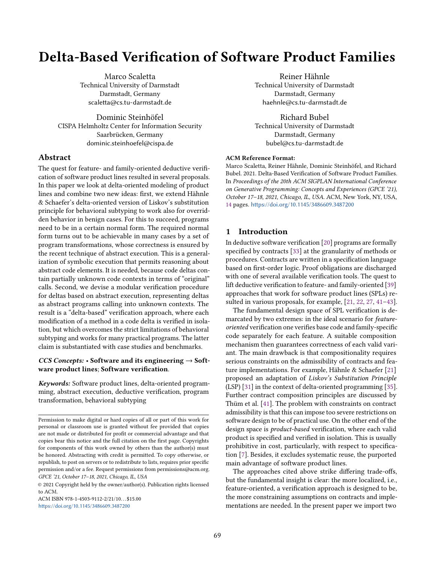# Delta-Based Verification of Software Product Families

Marco Scaletta Technical University of Darmstadt Darmstadt, Germany scaletta@cs.tu-darmstadt.de

Dominic Steinhöfel CISPA Helmholtz Center for Information Security Saarbrücken, Germany dominic.steinhoefel@cispa.de

# Abstract

The quest for feature- and family-oriented deductive verification of software product lines resulted in several proposals. In this paper we look at delta-oriented modeling of product lines and combine two new ideas: first, we extend Hähnle & Schaefer's delta-oriented version of Liskov's substitution principle for behavioral subtyping to work also for overridden behavior in benign cases. For this to succeed, programs need to be in a certain normal form. The required normal form turns out to be achievable in many cases by a set of program transformations, whose correctness is ensured by the recent technique of abstract execution. This is a generalization of symbolic execution that permits reasoning about abstract code elements. It is needed, because code deltas contain partially unknown code contexts in terms of "original" calls. Second, we devise a modular verification procedure for deltas based on abstract execution, representing deltas as abstract programs calling into unknown contexts. The result is a "delta-based" verification approach, where each modification of a method in a code delta is verified in isolation, but which overcomes the strict limitations of behavioral subtyping and works for many practical programs. The latter claim is substantiated with case studies and benchmarks.

# CCS Concepts:  $\cdot$  Software and its engineering  $\rightarrow$  Software product lines; Software verification.

Keywords: Software product lines, delta-oriented programming, abstract execution, deductive verification, program transformation, behavioral subtyping

ACM ISBN 978-1-4503-9112-2/21/10...\$15.00 <https://doi.org/10.1145/3486609.3487200>

Reiner Hähnle Technical University of Darmstadt Darmstadt, Germany haehnle@cs.tu-darmstadt.de

Richard Bubel Technical University of Darmstadt Darmstadt, Germany bubel@cs.tu-darmstadt.de

## ACM Reference Format:

Marco Scaletta, Reiner Hähnle, Dominic Steinhöfel, and Richard Bubel. 2021. Delta-Based Verification of Software Product Families. In Proceedings of the 20th ACM SIGPLAN International Conference on Generative Programming: Concepts and Experiences (GPCE '21), October 17–18, 2021, Chicago, IL, USA. ACM, New York, NY, USA, [14](#page-13-0) pages. <https://doi.org/10.1145/3486609.3487200>

# 1 Introduction

In deductive software verification [\[20\]](#page-12-0) programs are formally specified by contracts [\[33\]](#page-13-1) at the granularity of methods or procedures. Contracts are written in a specification language based on first-order logic. Proof obligations are discharged with one of several available verification tools. The quest to lift deductive verification to feature- and family-oriented [\[39\]](#page-13-2) approaches that work for software product lines (SPLs) resulted in various proposals, for example, [\[21,](#page-12-1) [22,](#page-12-2) [27,](#page-12-3) [41](#page-13-3)[–43\]](#page-13-4).

The fundamental design space of SPL verification is demarcated by two extremes: in the ideal scenario for featureoriented verification one verifies base code and family-specific code separately for each feature. A suitable composition mechanism then guarantees correctness of each valid variant. The main drawback is that compositionality requires serious constraints on the admissibility of contracts and feature implementations. For example, Hähnle & Schaefer [\[21\]](#page-12-1) proposed an adaptation of Liskov's Substitution Principle (LSP) [\[31\]](#page-13-5) in the context of delta-oriented programming [\[35\]](#page-13-6). Further contract composition principles are discussed by Thüm et al. [\[41\]](#page-13-3). The problem with constraints on contract admissibility is that this can impose too severe restrictions on software design to be of practical use. On the other end of the design space is product-based verification, where each valid product is specified and verified in isolation. This is usually prohibitive in cost, particularly, with respect to specification [\[7\]](#page-12-4). Besides, it excludes systematic reuse, the purported main advantage of software product lines.

The approaches cited above strike differing trade-offs, but the fundamental insight is clear: the more localized, i.e., feature-oriented, a verification approach is designed to be, the more constraining assumptions on contracts and implementations are needed. In the present paper we import two

Permission to make digital or hard copies of all or part of this work for personal or classroom use is granted without fee provided that copies are not made or distributed for profit or commercial advantage and that copies bear this notice and the full citation on the first page. Copyrights for components of this work owned by others than the author(s) must be honored. Abstracting with credit is permitted. To copy otherwise, or republish, to post on servers or to redistribute to lists, requires prior specific permission and/or a fee. Request permissions from permissions@acm.org. GPCE '21, October 17–18, 2021, Chicago, IL, USA

<sup>©</sup> 2021 Copyright held by the owner/author(s). Publication rights licensed to ACM.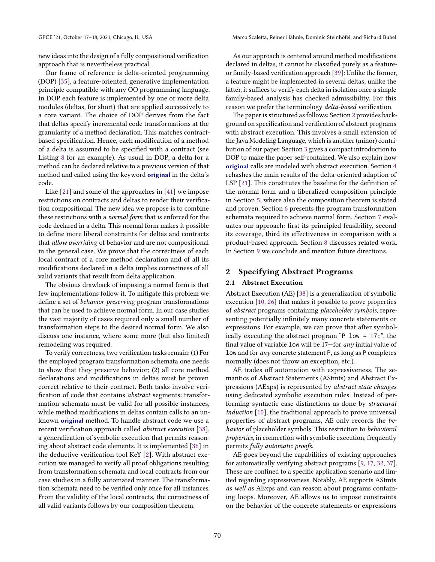new ideas into the design of a fully compositional verification approach that is nevertheless practical.

Our frame of reference is delta-oriented programming (DOP) [\[35\]](#page-13-6), a feature-oriented, generative implementation principle compatible with any OO programming language. In DOP each feature is implemented by one or more delta modules (deltas, for short) that are applied successively to a core variant. The choice of DOP derives from the fact that deltas specify incremental code transformations at the granularity of a method declaration. This matches contractbased specification. Hence, each modification of a method of a delta is assumed to be specified with a contract (see Listing [8](#page-8-0) for an example). As usual in DOP, a delta for a method can be declared relative to a previous version of that method and called using the keyword original in the delta's code.

Like [\[21\]](#page-12-1) and some of the approaches in [\[41\]](#page-13-3) we impose restrictions on contracts and deltas to render their verification compositional. The new idea we propose is to combine these restrictions with a normal form that is enforced for the code declared in a delta. This normal form makes it possible to define more liberal constraints for deltas and contracts that allow overriding of behavior and are not compositional in the general case. We prove that the correctness of each local contract of a core method declaration and of all its modifications declared in a delta implies correctness of all valid variants that result from delta application.

The obvious drawback of imposing a normal form is that few implementations follow it. To mitigate this problem we define a set of behavior-preserving program transformations that can be used to achieve normal form. In our case studies the vast majority of cases required only a small number of transformation steps to the desired normal form. We also discuss one instance, where some more (but also limited) remodeling was required.

To verify correctness, two verification tasks remain: (1) For the employed program transformation schemata one needs to show that they preserve behavior; (2) all core method declarations and modifications in deltas must be proven correct relative to their contract. Both tasks involve verification of code that contains abstract segments: transformation schemata must be valid for all possible instances, while method modifications in deltas contain calls to an unknown original method. To handle abstract code we use a recent verification approach called abstract execution [\[38\]](#page-13-7), a generalization of symbolic execution that permits reasoning about abstract code elements. It is implemented [\[36\]](#page-13-8) in the deductive verification tool KeY [\[2\]](#page-12-5). With abstract execution we managed to verify all proof obligations resulting from transformation schemata and local contracts from our case studies in a fully automated manner. The transformation schemata need to be verified only once for all instances. From the validity of the local contracts, the correctness of all valid variants follows by our composition theorem.

As our approach is centered around method modifications declared in deltas, it cannot be classified purely as a featureor family-based verification approach [\[39\]](#page-13-2): Unlike the former, a feature might be implemented in several deltas; unlike the latter, it suffices to verify each delta in isolation once a simple family-based analysis has checked admissibility. For this reason we prefer the terminology delta-based verification.

The paper is structured as follows: Section [2](#page-1-0) provides background on specification and verification of abstract programs with abstract execution. This involves a small extension of the Java Modeling Language, which is another (minor) contribution of our paper. Section [3](#page-3-0) gives a compact introduction to DOP to make the paper self-contained. We also explain how original calls are modeled with abstract execution. Section [4](#page-4-0) rehashes the main results of the delta-oriented adaption of LSP [\[21\]](#page-12-1). This constitutes the baseline for the definition of the normal form and a liberalized composition principle in Section [5,](#page-4-1) where also the composition theorem is stated and proven. Section [6](#page-7-0) presents the program transformation schemata required to achieve normal form. Section [7](#page-7-1) evaluates our approach: first its principled feasibility, second its coverage, third its effectiveness in comparison with a product-based approach. Section [8](#page-10-0) discusses related work. In Section [9](#page-11-0) we conclude and mention future directions.

# <span id="page-1-0"></span>2 Specifying Abstract Programs

## 2.1 Abstract Execution

Abstract Execution (AE) [\[38\]](#page-13-7) is a generalization of symbolic execution [\[10,](#page-12-6) [26\]](#page-12-7) that makes it possible to prove properties of abstract programs containing placeholder symbols, representing potentially infinitely many concrete statements or expressions. For example, we can prove that after symbolically executing the abstract program "P low = 17;", the final value of variable low will be 17—for any initial value of low and for any concrete statement P, as long as P completes normally (does not throw an exception, etc.).

AE trades off automation with expressiveness. The semantics of Abstract Statements (AStmts) and Abstract Expressions (AExps) is represented by abstract state changes using dedicated symbolic execution rules. Instead of performing syntactic case distinctions as done by structural induction [\[10\]](#page-12-6), the traditional approach to prove universal properties of abstract programs, AE only records the behavior of placeholder symbols. This restriction to behavioral properties, in connection with symbolic execution, frequently permits fully automatic proofs.

AE goes beyond the capabilities of existing approaches for automatically verifying abstract programs [\[9,](#page-12-8) [17,](#page-12-9) [32,](#page-13-9) [37\]](#page-13-10). These are confined to a specific application scenario and limited regarding expressiveness. Notably, AE supports AStmts as well as AExps and can reason about programs containing loops. Moreover, AE allows us to impose constraints on the behavior of the concrete statements or expressions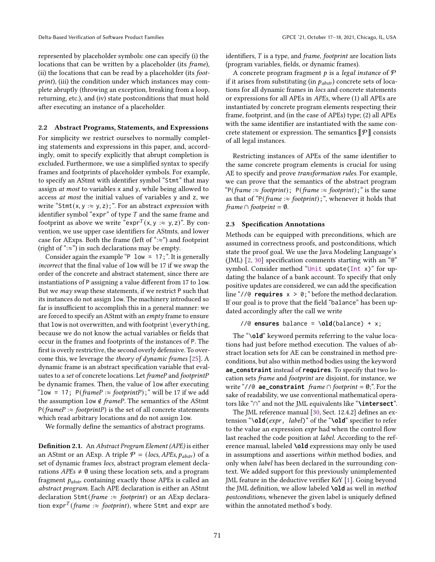represented by placeholder symbols: one can specify (i) the locations that can be written by a placeholder (its frame), (ii) the locations that can be read by a placeholder (its footprint), (iii) the condition under which instances may complete abruptly (throwing an exception, breaking from a loop, returning, etc.), and (iv) state postconditions that must hold after executing an instance of a placeholder.

## 2.2 Abstract Programs, Statements, and Expressions

For simplicity we restrict ourselves to normally completing statements and expressions in this paper, and, accordingly, omit to specify explicitly that abrupt completion is excluded. Furthermore, we use a simplified syntax to specify frames and footprints of placeholder symbols. For example, to specify an AStmt with identifier symbol "Stmt" that may assign at most to variables x and y, while being allowed to access at most the initial values of variables y and z, we write "Stmt(x, y :  $\approx$  y, z);". For an abstract expression with identifier symbol "expr" of type  $T$  and the same frame and footprint as above we write "expr<sup>T</sup>(x, y : $\approx$  y, z)". By convention, we use upper case identifiers for AStmts, and lower case for AExps. Both the frame (left of " $:=$ ") and footprint (right of " $:=$ ") in such declarations may be empty.

Consider again the example "P  $low = 17$ ;". It is generally incorrect that the final value of low will be 17 if we swap the order of the concrete and abstract statement, since there are instantiations of P assigning a value different from 17 to low. But we may swap these statements, if we restrict P such that its instances do not assign low. The machinery introduced so far is insufficient to accomplish this in a general manner: we are forced to specify an AStmt with an empty frame to ensure that low is not overwritten, and with footprint \everything, because we do not know the actual variables or fields that occur in the frames and footprints of the instances of P. The first is overly restrictive, the second overly defensive. To overcome this, we leverage the theory of dynamic frames [\[25\]](#page-12-10). A dynamic frame is an abstract specification variable that evaluates to a set of concrete locations. Let frameP and footprintP be dynamic frames. Then, the value of low after executing "low = 17;  $P(framer \approx footprintP)$ ;" will be 17 if we add the assumption low  $\notin frameP$ . The semantics of the AStmt  $P(framer \approx footprintP)$  is the set of all concrete statements which read arbitrary locations and do not assign low.

We formally define the semantics of abstract programs.

Definition 2.1. An Abstract Program Element (APE) is either an AStmt or an AExp. A triple  $P = (loss, APEs, p_{abstr})$  of a set of dynamic frames locs, abstract program element declarations  $APEs \neq \emptyset$  using these location sets, and a program fragment  $p_{abstr}$  containing exactly those APEs is called an abstract program. Each APE declaration is either an AStmt declaration Stmt(frame : $\approx$  footprint) or an AExp declaration expr<sup>T</sup> (frame : $\approx$  footprint), where Stmt and expr are

identifiers,  $T$  is a type, and *frame, footprint* are location lists (program variables, fields, or dynamic frames).

A concrete program fragment  $p$  is a legal instance of  $\mathcal P$ if it arises from substituting (in  $p_{abstr}$ ) concrete sets of locations for all dynamic frames in locs and concrete statements or expressions for all APEs in APEs, where (1) all APEs are instantiated by concrete program elements respecting their frame, footprint, and (in the case of APEs) type; (2) all APEs with the same identifier are instantiated with the same concrete statement or expression. The semantics  $\llbracket \mathcal{P} \rrbracket$  consists of all legal instances.

Restricting instances of APEs of the same identifier to the same concrete program elements is crucial for using AE to specify and prove transformation rules. For example, we can prove that the semantics of the abstract program "P(frame : $\approx$  footprint); P(frame : $\approx$  footprint);" is the same as that of "P(frame : $\approx$  footprint);", whenever it holds that frame  $\cap$  footprint =  $\emptyset$ .

#### <span id="page-2-0"></span>2.3 Specification Annotations

Methods can be equipped with preconditions, which are assumed in correctness proofs, and postconditions, which state the proof goal. We use the Java Modeling Language's (JML) [\[2,](#page-12-5) [30\]](#page-13-11) specification comments starting with an "@" symbol. Consider method "Unit update(Int x)" for updating the balance of a bank account. To specify that only positive updates are considered, we can add the specification line "// $\theta$  **requires**  $x > \theta$ ; " before the method declaration. If our goal is to prove that the field "balance" has been updated accordingly after the call we write

```
//@ ensures balance = \old(balance) + x;
```
The "\**old**" keyword permits referring to the value locations had just before method execution. The values of abstract location sets for AE can be constrained in method preconditions, but also within method bodies using the keyword **ae\_constraint** instead of **requires**. To specify that two location sets frame and footprint are disjoint, for instance, we write "//@ **ae\_constraint** frame ∩ footprint = ∅;". For the sake of readability, we use conventional mathematical operators like "∩" and not the JML equivalents like "**\intersect**".

The JML reference manual [\[30,](#page-13-11) Sect. 12.4.2] defines an extension "\**old**(expr, label)" of the "**\old**" specifier to refer to the value an expression expr had when the control flow last reached the code position at label. According to the reference manual, labeled **\old** expressions may only be used in assumptions and assertions within method bodies, and only when label has been declared in the surrounding context. We added support for this previously unimplemented JML feature in the deductive verifier KeY [\[1\]](#page-11-1). Going beyond the JML definition, we allow labeled **\old** as well in method postconditions, whenever the given label is uniquely defined within the annotated method's body.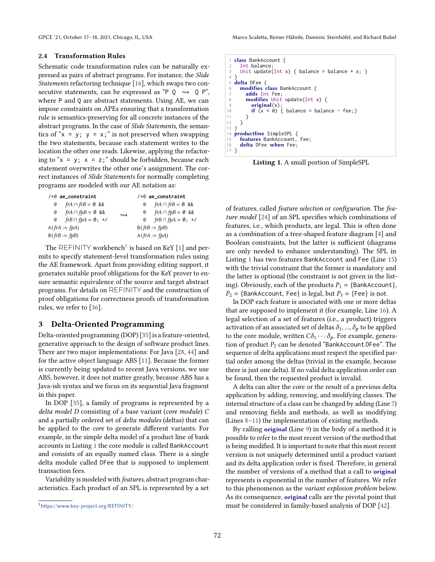### 2.4 Transformation Rules

Schematic code transformation rules can be naturally expressed as pairs of abstract programs. For instance, the Slide Statements refactoring technique [\[16\]](#page-12-11), which swaps two consecutive statements, can be expressed as "P  $Q \rightsquigarrow Q P$ ", where P and Q are abstract statements. Using AE, we can impose constraints on APEs ensuring that a transformation rule is semantics-preserving for all concrete instances of the abstract programs. In the case of Slide Statements, the semantics of " $x = y$ ;  $y = x$ ;" is not preserved when swapping the two statements, because each statement writes to the location the other one reads. Likewise, applying the refactoring to " $x = y$ ;  $x = z$ ;" should be forbidden, because each statement overwrites the other one's assignment. The correct instances of Slide Statements for normally completing programs are modeled with our AE notation as:

| $/*@ae_{constant}$                          |                    | $/*@ae_{constant}$                         |
|---------------------------------------------|--------------------|--------------------------------------------|
| $\theta$ fr $A \cap frB = \emptyset$ &&     |                    | $\theta$ fr $A \cap frB = \emptyset$ &&    |
| $\theta$ fr $A \cap f p B = \emptyset$ &&   | $\rightsquigarrow$ | $\theta$ fr $A \cap f p B = \emptyset$ &&  |
| $\theta$ fr $B \cap f p A = \emptyset$ ; */ |                    | $\theta$ frB $\cap$ fpA = $\emptyset$ ; */ |
| $A(frA := fpA)$                             |                    | $B$ ( <i>frB</i> : $\approx$ <i>fpB</i> )  |
| $B(frB : \approx fpB)$                      |                    | $A$ ( <i>frA</i> : $\approx$ <i>fpA</i> )  |

The REFINITY workbench<sup>[1](#page-3-1)</sup> is based on KeY [\[1\]](#page-11-1) and permits to specify statement-level transformation rules using the AE framework. Apart from providing editing support, it generates suitable proof obligations for the KeY prover to ensure semantic equivalence of the source and target abstract programs. For details on REFINITY and the construction of proof obligations for correctness proofs of transformation rules, we refer to [\[36\]](#page-13-8).

# <span id="page-3-0"></span>3 Delta-Oriented Programming

Delta-oriented programming (DOP) [\[35\]](#page-13-6) is a feature-oriented, generative approach to the design of software product lines. There are two major implementations: For Java [\[28,](#page-13-12) [44\]](#page-13-13) and for the active object language ABS [\[11\]](#page-12-12). Because the former is currently being updated to recent Java versions, we use ABS, however, it does not matter greatly, because ABS has a Java-ish syntax and we focus on its sequential Java fragment in this paper.

In DOP [\[35\]](#page-13-6), a family of programs is represented by a delta model D consisting of a base variant (core module) C and a partially ordered set of delta modules (deltas) that can be applied to the core to generate different variants. For example, in the simple delta model of a product line of bank accounts in Listing [1](#page-3-2) the core module is called BankAccount and consists of an equally named class. There is a single delta module called DFee that is supposed to implement transaction fees.

Variability is modeled with features, abstract program characteristics. Each product of an SPL is represented by a set

<span id="page-3-8"></span><span id="page-3-6"></span><span id="page-3-5"></span><span id="page-3-2"></span>

|                 | 1 class BankAccount {                                  |
|-----------------|--------------------------------------------------------|
|                 | 2 Int balance:                                         |
|                 | 3 Unit update(Int x) { balance = balance + x; }        |
| 4 }             |                                                        |
|                 | 5 <b>delta</b> DFee {                                  |
| 6               | <b>modifies class BankAccount {</b>                    |
| 7               | adds Int fee:                                          |
|                 | 8 <sup>1</sup><br><b>modifies</b> Unit update(Int x) { |
| 9               | original(x);                                           |
|                 | 10<br>if $(x < 0)$ { balance = balance - fee; }        |
| 11              | ł                                                      |
| 12              | $\rightarrow$                                          |
| $13$ }          |                                                        |
|                 | 14 <b>productline</b> SimpleSPL {                      |
|                 | 15 <b>features BankAccount, Fee:</b>                   |
|                 | 16 delta DFee when Fee;                                |
| 17 <sup>7</sup> |                                                        |

<span id="page-3-7"></span><span id="page-3-4"></span><span id="page-3-3"></span>Listing 1. A small portion of SimpleSPL

of features, called feature selection or configuration. The feature model [\[24\]](#page-12-13) of an SPL specifies which combinations of features, i.e., which products, are legal. This is often done as a combination of a tree-shaped feature diagram [\[4\]](#page-12-14) and Boolean constraints, but the latter is sufficient (diagrams are only needed to enhance understanding). The SPL in Listing [1](#page-3-2) has two features BankAccount and Fee (Line [15\)](#page-3-3) with the trivial constraint that the former is mandatory and the latter is optional (the constraint is not given in the listing). Obviously, each of the products  $P_1 = \{\text{BankAccount}\},\$  $P_2 = \{BankAccount, fee\}$  is legal, but  $P_3 = \{Fee\}$  is not.

In DOP each feature is associated with one or more deltas that are supposed to implement it (for example, Line [16\)](#page-3-4). A legal selection of a set of features (i.e., a product) triggers activation of an associated set of deltas  $\delta_1, ..., \delta_p$  to be applied to the core module, written  $C\delta_1 \cdots \delta_p$ . For example, generation of product  $P_2$  can be denoted "BankAccount DFee". The sequence of delta applications must respect the specified partial order among the deltas (trivial in the example, because there is just one delta). If no valid delta application order can be found, then the requested product is invalid.

A delta can alter the core or the result of a previous delta application by adding, removing, and modifying classes. The internal structure of a class can be changed by adding (Line [7\)](#page-3-5) and removing fields and methods, as well as modifying (Lines [8](#page-3-6)[–11\)](#page-3-7) the implementation of existing methods.

By calling original (Line [9\)](#page-3-8) in the body of a method it is possible to refer to the most recent version of the method that is being modified. It is important to note that this most recent version is not uniquely determined until a product variant and its delta application order is fixed. Therefore, in general the number of versions of a method that a call to **original** represents is exponential in the number of features. We refer to this phenomenon as the variant explosion problem below. As its consequence, original calls are the pivotal point that must be considered in family-based analysis of DOP [\[42\]](#page-13-14).

<span id="page-3-1"></span><sup>1</sup><https://www.key-project.org/REFINITY/>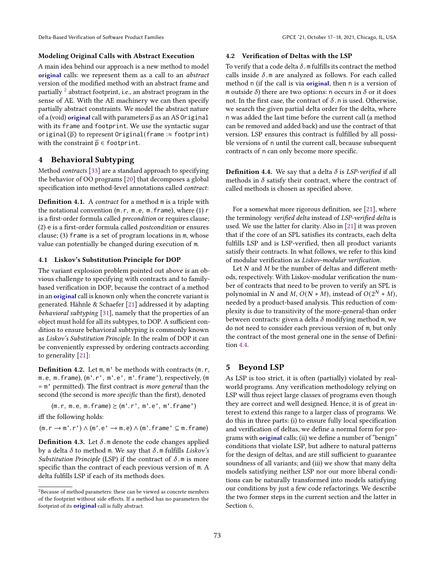## Modeling Original Calls with Abstract Execution

A main idea behind our approach is a new method to model original calls: we represent them as a call to an abstract version of the modified method with an abstract frame and partially  $^2$  $^2$  abstract footprint, i.e., an abstract program in the sense of AE. With the AE machinery we can then specify partially abstract constraints. We model the abstract nature of a (void) original call with parameters  $\bar{p}$  as an AS Original with its frame and footprint. We use the syntactic sugar original( $\overline{p}$ ) to represent Original(frame : $\approx$  footprint) with the constraint  $\overline{p} \in$  footprint.

# <span id="page-4-0"></span>4 Behavioral Subtyping

Method contracts [\[33\]](#page-13-1) are a standard approach to specifying the behavior of OO programs [\[20\]](#page-12-0) that decomposes a global specification into method-level annotations called contract:

**Definition 4.1.** A *contract* for a method m is a triple with the notational convention (m.r, m.e, m.frame), where (1) r is a first-order formula called precondition or requires clause; (2) e is a first-order formula called postcondition or ensures clause; (3) frame is a set of program locations in m, whose value can potentially be changed during execution of m.

### 4.1 Liskov's Substitution Principle for DOP

The variant explosion problem pointed out above is an obvious challenge to specifying with contracts and to familybased verification in DOP, because the contract of a method in an original call is known only when the concrete variant is generated. Hähnle & Schaefer [\[21\]](#page-12-1) addressed it by adapting behavioral subtyping [\[31\]](#page-13-5), namely that the properties of an object must hold for all its subtypes, to DOP. A sufficient condition to ensure behavioral subtyping is commonly known as Liskov's Substitution Principle. In the realm of DOP it can be conveniently expressed by ordering contracts according to generality [\[21\]](#page-12-1):

Definition 4.2. Let m, m' be methods with contracts (m.r, m.e, m.frame), (m'.r', m'.e', m'.frame'), respectively, (m  $=$  m' permitted). The first contract is *more general* than the second (the second is more specific than the first), denoted

 $(m.r, m.e, m.f$ rame $) \geq (m'.r', m'.e', m'.$ frame')

iff the following holds:

 $(m.r \rightarrow m'.r') \land (m'.e' \rightarrow m.e) \land (m'.frame' \subseteq m.frame)$ 

<span id="page-4-4"></span>**Definition 4.3.** Let  $\delta$ .m denote the code changes applied by a delta  $\delta$  to method m. We say that  $\delta.$  m fulfills  $Liskov's$ Substitution Principle (LSP) if the contract of  $\delta$ . m is more specific than the contract of each previous version of m. A delta fulfills LSP if each of its methods does.

### 4.2 Verification of Deltas with the LSP

To verify that a code delta  $\delta$ .m fulfills its contract the method calls inside  $\delta$ .m are analyzed as follows. For each called method n (if the call is via original, then n is a version of m outside  $\delta$ ) there are two options: n occurs in  $\delta$  or it does not. In the first case, the contract of  $\delta$ . n is used. Otherwise, we search the given partial delta order for the delta, where n was added the last time before the current call (a method can be removed and added back) and use the contract of that version. LSP ensures this contract is fulfilled by all possible versions of n until the current call, because subsequent contracts of n can only become more specific.

<span id="page-4-3"></span>**Definition 4.4.** We say that a delta  $\delta$  is LSP-verified if all methods in  $\delta$  satisfy their contract, where the contract of called methods is chosen as specified above.

For a somewhat more rigorous definition, see [\[21\]](#page-12-1), where the terminology verified delta instead of LSP-verified delta is used. We use the latter for clarity. Also in [\[21\]](#page-12-1) it was proven that if the core of an SPL satisfies its contracts, each delta fulfills LSP and is LSP-verified, then all product variants satisfy their contracts. In what follows, we refer to this kind of modular verification as Liskov-modular verification.

Let  $N$  and  $M$  be the number of deltas and different methods, respectively. With Liskov-modular verification the number of contracts that need to be proven to verify an SPL is polynomial in N and M,  $O(N * M)$ , instead of  $O(2^N * M)$ , needed by a product-based analysis. This reduction of complexity is due to transitivity of the more-general-than order between contracts: given a delta  $\delta$  modifying method m, we do not need to consider each previous version of m, but only the contract of the most general one in the sense of Definition [4.4.](#page-4-3)

# <span id="page-4-1"></span>5 Beyond LSP

As LSP is too strict, it is often (partially) violated by realworld programs. Any verification methodology relying on LSP will thus reject large classes of programs even though they are correct and well designed. Hence, it is of great interest to extend this range to a larger class of programs. We do this in three parts: (i) to ensure fully local specification and verification of deltas, we define a normal form for programs with original calls; (ii) we define a number of "benign" conditions that violate LSP, but adhere to natural patterns for the design of deltas, and are still sufficient to guarantee soundness of all variants; and (iii) we show that many delta models satisfying neither LSP nor our more liberal conditions can be naturally transformed into models satisfying our conditions by just a few code refactorings. We describe the two former steps in the current section and the latter in Section [6.](#page-7-0)

<span id="page-4-2"></span> ${\rm ^2}$  Because of method parameters: these can be viewed as concrete members of the footprint without side effects. If a method has no parameters the footprint of its original call is fully abstract.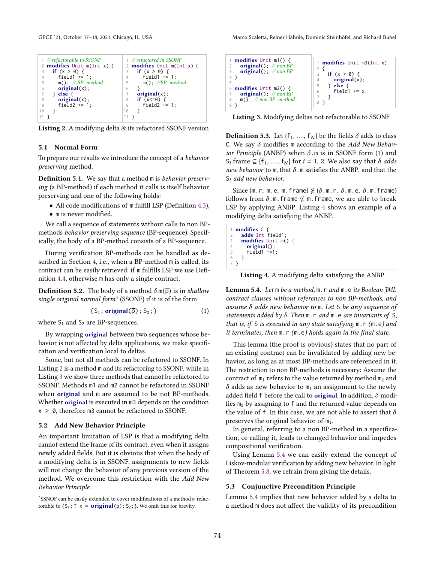```
1 // refactorable to SSONF<br>2 modifies Unit m(Int)
 2 modifies Unit m(Int x) {<br>3 if (x > 0) {
 3 \text{ if } (x > 0) {<br>4 field1 +=
              field1 += 1;5 m(); \#BP-method<br>6 original(x):
 \begin{array}{c} 6 \\ 7 \end{array} original(x);
 \begin{array}{cc} 7 & \text{ } \} & \text{else} \\ 8 & \text{ } \end{array}8 original(x);<br>9 field2 += 1
               field2 += 1:
10 }
11 }
                                                                    1 // refactored in SSONF<br>2 modifies Unit m(In
                                                                   2 modifies Unit m(Int x) {<br>3 if (x > 0) {
                                                                   3 if (x > 0) {<br>4 field1 +=
                                                                   4 field1 += 1;<br>5 m(); //BP-me
                                                                   5 m(); //BP-method\begin{matrix} 6 & 3 \\ 7 & 6 \end{matrix}\begin{array}{cc}\n7 & \text{original(x)}; \\
8 & \text{if } (x \leq 0) \end{array}8 if (x < = 0) {<br>9 field2 += 1;
                                                                  10 }
                                                                  11 }
```
Listing 2. A modifying delta & its refactored SSONF version

#### 5.1 Normal Form

To prepare our results we introduce the concept of a behavior preserving method.

Definition 5.1. We say that a method m is behavior preserving (a BP-method) if each method it calls is itself behavior preserving and one of the following holds:

- All code modifications of m fulfill LSP (Definition [4.3\)](#page-4-4),
- m is never modified.

We call a sequence of statements without calls to non BPmethods behavior preserving sequence (BP-sequence). Specifically, the body of a BP-method consists of a BP-sequence.

During verification BP-methods can be handled as described in Section [4,](#page-4-0) i.e., when a BP-method m is called, its contract can be easily retrieved: if m fulfills LSP we use Definition [4.4,](#page-4-3) otherwise m has only a single contract.

**Definition 5.2.** The body of a method  $\delta$ .m( $\bar{p}$ ) is in shallow single original normal form<sup>[3](#page-5-0)</sup> (SSONF) if it is of the form

<span id="page-5-3"></span>
$$
\{S_1; \text{original}(\overline{p}); S_2; \} \tag{1}
$$

where  $S_1$  and  $S_2$  are BP-sequences.

By wrapping original between two sequences whose behavior is not affected by delta applications, we make specification and verification local to deltas.

Some, but not all methods can be refactored to SSONF. In Listing [2](#page-5-1) is a method m and its refactoring to SSONF, while in Listing [3](#page-5-2) we show three methods that cannot be refactored to SSONF. Methods m1 and m2 cannot be refactored in SSONF when original and m are assumed to be not BP-methods. Whether original is executed in m3 depends on the condition x > 0, therefore m3 cannot be refactored to SSONF.

## 5.2 Add New Behavior Principle

An important limitation of LSP is that a modifying delta cannot extend the frame of its contract, even when it assigns newly added fields. But it is obvious that when the body of a modifying delta is in SSONF, assignments to new fields will not change the behavior of any previous version of the method. We overcome this restriction with the Add New Behavior Principle.

<span id="page-5-2"></span>

| 1 <b>modifies</b> Unit m1() $\{$<br>original(); $\mathcal{N}$ non BP<br>original(); $//$ non BP<br>3 | 1 <b>modifies</b> Unit m3(Int x)<br>if $(x > 0)$ {                              |
|------------------------------------------------------------------------------------------------------|---------------------------------------------------------------------------------|
| 6 <b>modifies</b> Unit $m2()$ {<br>original(); $\mathcal{N}$ non BP<br>$m()$ ; // non BP-method<br>8 | original(x);<br>else $\{$<br>5<br>$\rightarrow$<br>field $1 \div x$ ;<br>6<br>8 |

Listing 3. Modifying deltas not refactorable to SSONF

**Definition 5.3.** Let  $\{f_1, \ldots, f_N\}$  be the fields  $\delta$  adds to class C. We say  $\delta$  modifies m according to the Add New Behavior Principle (ANBP) when  $\delta$ .m is in SSONF form [\(1\)](#page-5-3) and S<sub>i</sub>.frame  $\subseteq$  {f<sub>1</sub>, ..., f<sub>N</sub>} for *i* = 1, 2. We also say that  $\delta$  *adds* new behavior to  $m$ , that  $\delta$ .  $m$  satisfies the ANBP, and that the  $S_i$  add new behavior.

Since (m.r, m.e, m.frame)  $\not\geq (\delta.m.r, \delta.m.e, \delta.m.f$ rame) follows from  $\delta$ .m.frame ⊈ m.frame, we are able to break LSP by applying ANBP. Listing [4](#page-5-4) shows an example of a modifying delta satisfying the ANBP.

<span id="page-5-4"></span>

|       | 1 <b>modifies</b> $C \{$     |
|-------|------------------------------|
|       | 2 adds Int field1;           |
|       | 3 <b>modifies</b> Unit m() { |
|       | $4$ original();              |
|       | $5$ field1 $+=1$ ;           |
|       | 6 }                          |
| $7$ } |                              |

Listing 4. A modifying delta satisfying the ANBP

<span id="page-5-5"></span>Lemma 5.4. Let m be a method, m. r and m. e its Boolean JML contract clauses without references to non BP-methods, and assume  $\delta$  adds new behavior to m. Let S be any sequence of statements added by  $\delta$ . Then  $m \cdot r$  and  $m \cdot e$  are invariants of S, that is, if S is executed in any state satisfying m.r (m.e) and it terminates, then m.r (m.e) holds again in the final state.

This lemma (the proof is obvious) states that no part of an existing contract can be invalidated by adding new behavior, as long as at most BP-methods are referenced in it. The restriction to non BP-methods is necessary: Assume the contract of  $m_1$  refers to the value returned by method  $m_2$  and  $\delta$  adds as new behavior to  $m_1$  an assignment to the newly added field f before the call to **original**. In addition,  $\delta$  modifies  $m_2$  by assigning to f and the returned value depends on the value of f. In this case, we are not able to assert that  $\delta$ preserves the original behavior of  $m_1$ .

In general, referring to a non BP-method in a specification, or calling it, leads to changed behavior and impedes compositional verification.

Using Lemma [5.4](#page-5-5) we can easily extend the concept of Liskov-modular verification by adding new behavior. In light of Theorem [5.8,](#page-6-0) we refrain from giving the details.

#### 5.3 Conjunctive Precondition Principle

Lemma [5.4](#page-5-5) implies that new behavior added by a delta to a method m does not affect the validity of its precondition

<span id="page-5-0"></span><sup>3</sup>SSNOF can be easily extended to cover modifications of a method m refactorable to  $\{S_1; \top \times \top \text{original}(\overline{p}); S_2; \}$ . We omit this for brevity.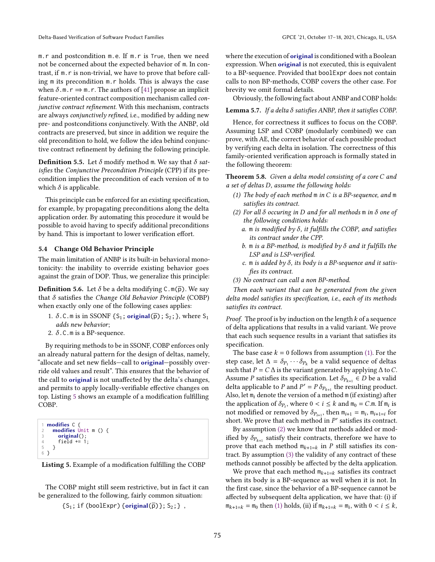m.r and postcondition m.e. If m.r is True, then we need not be concerned about the expected behavior of m. In contrast, if m.r is non-trivial, we have to prove that before calling m its precondition m.r holds. This is always the case when  $\delta$ .m.  $r \Rightarrow$  m. r. The authors of [\[41\]](#page-13-3) propose an implicit feature-oriented contract composition mechanism called conjunctive contract refinement. With this mechanism, contracts are always conjunctively refined, i.e., modified by adding new pre- and postconditions conjunctively. With the ANBP, old contracts are preserved, but since in addition we require the old precondition to hold, we follow the idea behind conjunctive contract refinement by defining the following principle.

**Definition 5.5.** Let  $\delta$  modify method m. We say that  $\delta$  satisfies the Conjunctive Precondition Principle (CPP) if its precondition implies the precondition of each version of m to which  $\delta$  is applicable.

This principle can be enforced for an existing specification, for example, by propagating preconditions along the delta application order. By automating this procedure it would be possible to avoid having to specify additional preconditions by hand. This is important to lower verification effort.

## 5.4 Change Old Behavior Principle

The main limitation of ANBP is its built-in behavioral monotonicity: the inability to override existing behavior goes against the grain of DOP. Thus, we generalize this principle:

<span id="page-6-8"></span>**Definition 5.6.** Let  $\delta$  be a delta modifying  $C \cdot m(\overline{p})$ . We say that  $\delta$  satisfies the Change Old Behavior Principle (COBP) when exactly only one of the following cases applies:

- 1.  $\delta$ .C.m is in SSONF {S<sub>1</sub>; original( $\overline{p}$ ); S<sub>2</sub>; }, where S<sub>1</sub> adds new behavior;
- 2.  $\delta$ .C.m is a BP-sequence.

By requiring methods to be in SSONF, COBP enforces only an already natural pattern for the design of deltas, namely, "allocate and set new fields-call to original-possibly override old values and result". This ensures that the behavior of the call to original is not unaffected by the delta's changes, and permits to apply locally-verifiable effective changes on top. Listing [5](#page-6-1) shows an example of a modification fulfilling COBP.

```
1 modifies C {
       modifies Unit m () {
\begin{array}{ll} 3 & \text{original();} \\ 4 & \text{field } \neq 1 \end{array}4 field += 1;
       5 }
6 }
```


The COBP might still seem restrictive, but in fact it can be generalized to the following, fairly common situation:

```
{S_1; \text{ if (booleanExpr) {original(p)}}; S_2;}
```
where the execution of **original** is conditioned with a Boolean expression. When original is not executed, this is equivalent to a BP-sequence. Provided that boolExpr does not contain calls to non BP-methods, COBP covers the other case. For brevity we omit formal details.

Obviously, the following fact about ANBP and COBP holds:

## **Lemma 5.7.** If a delta  $\delta$  satisfies ANBP, then it satisfies COBP.

Hence, for correctness it suffices to focus on the COBP. Assuming LSP and COBP (modularly combined) we can prove, with AE, the correct behavior of each possible product by verifying each delta in isolation. The correctness of this family-oriented verification approach is formally stated in the following theorem:

<span id="page-6-0"></span>Theorem 5.8. Given a delta model consisting of a core  $C$  and a set of deltas  $D$ , assume the following holds:

- <span id="page-6-2"></span>(1) The body of each method  $m$  in  $C$  is a BP-sequence, and  $m$ satisfies its contract.
- <span id="page-6-7"></span><span id="page-6-6"></span><span id="page-6-3"></span>(2) For all  $\delta$  occuring in D and for all methods m in  $\delta$  one of the following conditions holds:
	- a.  $m$  is modified by  $\delta$ , it fulfills the COBP, and satisfies its contract under the CPP.
	- b.  $m$  is a BP-method, is modified by  $\delta$  and it fulfills the LSP and is LSP-verified.
	- c. m is added by  $\delta$ , its body is a BP-sequence and it satisfies its contract.
- <span id="page-6-5"></span><span id="page-6-4"></span>(3) No contract can call a non BP-method.

Then each variant that can be generated from the given delta model satisfies its specification, i.e., each of its methods satisfies its contract.

*Proof.* The proof is by induction on the length  $k$  of a sequence of delta applications that results in a valid variant. We prove that each such sequence results in a variant that satisfies its specification.

The base case  $k = 0$  follows from assumption [\(1\).](#page-6-2) For the step case, let  $\Delta = \delta_{P_1} \cdots \delta_{P_k}$  be a valid sequence of deltas such that  $P = C \Delta$  is the variant generated by applying  $\Delta$  to C. Assume *P* satisfies its specification. Let  $\delta_{P_{k+1}} \in D$  be a valid delta applicable to P and  $P' = P \delta_{P_{k+1}}$  the resulting product. Also, let  $m_i$  denote the version of a method  $m$  (if existing) after the application of  $\delta_{P_i}$ , where  $0 < i \leq k$  and  $m_0 = C.m$ . If  $m_i$  is not modified or removed by  $\delta_{P_{i+1}}$ , then  $m_{i+1} = m_i$ ,  $m_{i+1=i}$  for short. We prove that each method in  $P'$  satisfies its contract.

By assumption [\(2\)](#page-6-3) we know that methods added or modified by  $\delta_{P_{k+1}}$  satisfy their contracts, therefore we have to prove that each method  $m_{k+1=k}$  in P still satisfies its contract. By assumption [\(3\)](#page-6-4) the validity of any contract of these methods cannot possibly be affected by the delta application.

We prove that each method  $m_{k+1=k}$  satisfies its contract when its body is a BP-sequence as well when it is not. In the first case, since the behavior of a BP-sequence cannot be affected by subsequent delta application, we have that: (i) if  $m_{k+1=k} = m_0$  then [\(1\)](#page-6-2) holds, (ii) if  $m_{k+1=k} = m_i$ , with  $0 < i \leq k$ ,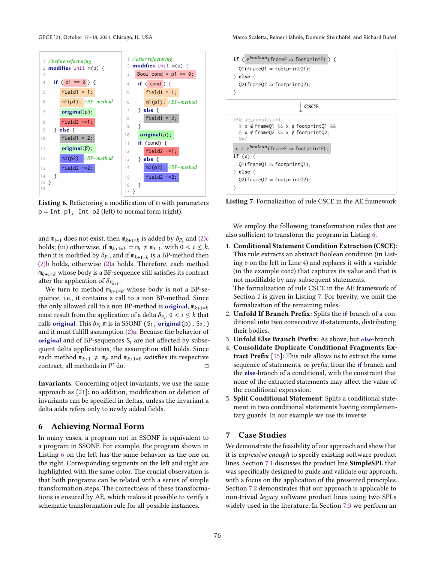<span id="page-7-3"></span><span id="page-7-2"></span>

Listing 6. Refactoring a modification of m with parameters  $\bar{p}$  = Int p1, Int p2 (left) to normal form (right).

and  $m_{i-1}$  does not exist, then  $m_{k+1=k}$  is added by  $\delta_{P_i}$  and  $(2)c$ holds; (iii) otherwise, if  $m_{k+1=k} = m_i \neq m_{i-1}$ , with  $0 < i \leq k$ , then it is modified by  $\delta_{P_i}$ , and if  $m_{k+1=k}$  is a BP-method then [\(2\)b](#page-6-6) holds, otherwise [\(2\)a](#page-6-7) holds. Therefore, each method  $m_{k+1=k}$  whose body is a BP-sequence still satisfies its contract after the application of  $\delta_{P_{k+1}}$ .

We turn to method  $m_{k+1=k}$  whose body is not a BP-sequence, i.e., it contains a call to a non BP-method. Since the only allowed call to a non BP-method is **original**,  $m_{k+1=k}$ must result from the application of a delta  $\delta_{P_i}$ ,  $0 < i \leq k$  that calls original. This  $\delta_{P_i}$ .m is in SSONF {S<sub>1</sub>; original( $\bar{p}$ ); S<sub>2</sub>; } and it must fulfill assumption [\(2\)a.](#page-6-7) Because the behavior of original and of BP-sequences  $S_i$  are not affected by subsequent delta applications, the assumption still holds. Since each method  $m_{k+1} \neq m_k$  and  $m_{k+1=k}$  satisfies its respective contract, all methods in  $P'$  do.  $\sqrt{a}$  do.

Invariants. Concerning object invariants, we use the same approach as [\[21\]](#page-12-1): no addition, modification or deletion of invariants can be specified in deltas, unless the invariant a delta adds refers only to newly added fields.

## <span id="page-7-0"></span>6 Achieving Normal Form

In many cases, a program not in SSONF is equivalent to a program in SSONF. For example, the program shown in Listing [6](#page-7-2) on the left has the same behavior as the one on the right. Corresponding segments on the left and right are highlighted with the same color. The crucial observation is that both programs can be related with a series of simple transformation steps. The correctness of these transformations is ensured by AE, which makes it possible to verify a schematic transformation rule for all possible instances.

<span id="page-7-4"></span>

Listing 7. Formalization of rule CSCE in the AE framework

We employ the following transformation rules that are also sufficient to transform the program in Listing [6.](#page-7-2)

- 1. Conditional Statement Condition Extraction (CSCE): This rule extracts an abstract Boolean condition (in Listing [6](#page-7-2) on the left in Line [4\)](#page-7-3) and replaces it with a variable (in the example cond) that captures its value and that is not modifiable by any subsequent statements. The formalization of rule CSCE in the AE framework of Section [2](#page-1-0) is given in Listing [7.](#page-7-4) For brevity, we omit the formalization of the remaining rules.
- 2. Unfold If Branch Prefix: Splits the if-branch of a conditional into two consecutive if-statements, distributing their bodies.
- 3. Unfold Else Branch Prefix: As above, but else-branch.
- 4. Consolidate Duplicate Conditional Fragments Extract Prefix [\[15\]](#page-12-15): This rule allows us to extract the same sequence of statements, or *prefix*, from the *if*-branch and the else-branch of a conditional, with the constraint that none of the extracted statements may affect the value of the conditional expression.
- 5. Split Conditional Statement: Splits a conditional statement in two conditional statements having complementary guards. In our example we use its inverse.

## <span id="page-7-1"></span>7 Case Studies

We demonstrate the feasibility of our approach and show that it is expressive enough to specify existing software product lines. Section [7.1](#page-8-1) discusses the product line SimpleSPL that was specifically designed to guide and validate our approach, with a focus on the application of the presented principles. Section [7.2](#page-8-2) demonstrates that our approach is applicable to non-trivial legacy software product lines using two SPLs widely used in the literature. In Section [7.3](#page-10-1) we perform an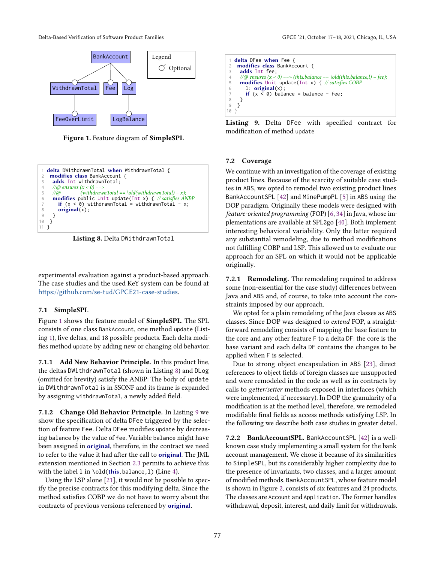Delta-Based Verification of Software Product Families GPCE '21, October 17–18, 2021, Chicago, IL, USA

<span id="page-8-3"></span>

Figure 1. Feature diagram of SimpleSPL

<span id="page-8-0"></span>

Listing 8. Delta DWithdrawnTotal

experimental evaluation against a product-based approach. The case studies and the used KeY system can be found at <https://github.com/se-tud/GPCE21-case-studies>.

#### <span id="page-8-1"></span>7.1 SimpleSPL

Figure [1](#page-8-3) shows the feature model of SimpleSPL. The SPL consists of one class BankAccount, one method update (Listing [1\)](#page-3-2), five deltas, and 18 possible products. Each delta modifies method update by adding new or changing old behavior.

7.1.1 Add New Behavior Principle. In this product line, the deltas DWithdrawnTotal (shown in Listing [8\)](#page-8-0) and DLog (omitted for brevity) satisfy the ANBP: The body of update in DWithdrawnTotal is in SSONF and its frame is expanded by assigning withdrawnTotal, a newly added field.

7.1.2 Change Old Behavior Principle. In Listing [9](#page-8-4) we show the specification of delta DFee triggered by the selection of feature Fee. Delta DFee modifies update by decreasing balance by the value of fee. Variable balance might have been assigned in original, therefore, in the contract we need to refer to the value it had after the call to original. The JML extension mentioned in Section [2.3](#page-2-0) permits to achieve this with the label 1 in  $\old(this.balance,1)$  (Line [4\)](#page-8-5).

Using the LSP alone [\[21\]](#page-12-1), it would not be possible to specify the precise contracts for this modifying delta. Since the method satisfies COBP we do not have to worry about the contracts of previous versions referenced by original.

<span id="page-8-5"></span><span id="page-8-4"></span>1 delta DFee when Fee { 2 modifies class BankAccount { 3 adds Int fee; 4 //@ ensures (x < 0) ==> (this.balance == \old(this.balance,l) − fee); 5 modifies Unit update(Int x) { // satisfies COBP 6 l: original(x); 7 if (x < 0) balance = balance - fee; 8 } 9 } 10 }

Listing 9. Delta DFee with specified contract for modification of method update

#### <span id="page-8-2"></span>7.2 Coverage

We continue with an investigation of the coverage of existing product lines. Because of the scarcity of suitable case studies in ABS, we opted to remodel two existing product lines BankAccountSPL [\[42\]](#page-13-14) and MinePumpPL [\[5\]](#page-12-16) in ABS using the DOP paradigm. Originally these models were designed with feature-oriented programming (FOP) [\[6,](#page-12-17) [34\]](#page-13-15) in Java, whose implementations are available at SPL2go [\[40\]](#page-13-16). Both implement interesting behavioral variability. Only the latter required any substantial remodeling, due to method modifications not fulfilling COBP and LSP. This allowed us to evaluate our approach for an SPL on which it would not be applicable originally.

7.2.1 Remodeling. The remodeling required to address some (non-essential for the case study) differences between Java and ABS and, of course, to take into account the constraints imposed by our approach.

We opted for a plain remodeling of the Java classes as ABS classes. Since DOP was designed to extend FOP, a straightforward remodeling consists of mapping the base feature to the core and any other feature F to a delta DF: the core is the base variant and each delta DF contains the changes to be applied when F is selected.

Due to strong object encapsulation in ABS [\[23\]](#page-12-18), direct references to object fields of foreign classes are unsupported and were remodeled in the code as well as in contracts by calls to getter/setter methods exposed in interfaces (which were implemented, if necessary). In DOP the granularity of a modification is at the method level, therefore, we remodeled modifiable final fields as access methods satisfying LSP. In the following we describe both case studies in greater detail.

7.2.2 BankAccountSPL. BankAccountSPL [\[42\]](#page-13-14) is a wellknown case study implementing a small system for the bank account management. We chose it because of its similarities to SimpleSPL, but its considerably higher complexity due to the presence of invariants, two classes, and a larger amount of modified methods. BankAccountSPL, whose feature model is shown in Figure [2,](#page-9-0) consists of six features and 24 products. The classes are Account and Application. The former handles withdrawal, deposit, interest, and daily limit for withdrawals.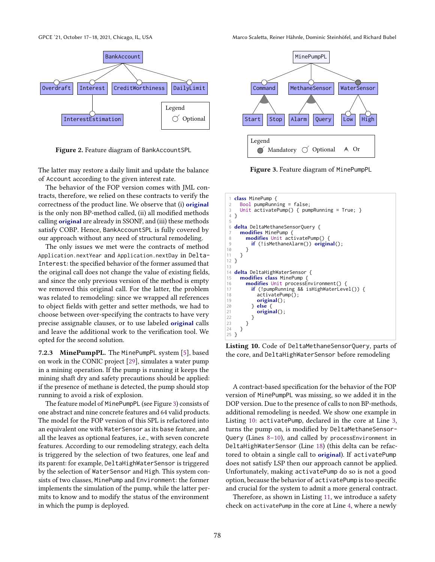<span id="page-9-0"></span>

Figure 2. Feature diagram of BankAccountSPL

The latter may restore a daily limit and update the balance of Account according to the given interest rate.

The behavior of the FOP version comes with JML contracts, therefore, we relied on these contracts to verify the correctness of the product line. We observe that (i) original is the only non BP-method called, (ii) all modified methods calling original are already in SSONF, and (iii) these methods satisfy COBP. Hence, BankAccountSPL is fully covered by our approach without any need of structural remodeling.

The only issues we met were the contracts of method Application.nextYear and Application.nextDay in Delta-Interest: the specified behavior of the former assumed that the original call does not change the value of existing fields, and since the only previous version of the method is empty we removed this original call. For the latter, the problem was related to remodeling: since we wrapped all references to object fields with getter and setter methods, we had to choose between over-specifying the contracts to have very precise assignable clauses, or to use labeled original calls and leave the additional work to the verification tool. We opted for the second solution.

7.2.3 MinePumpPL. The MinePumpPL system [\[5\]](#page-12-16), based on work in the CONIC project [\[29\]](#page-13-17), simulates a water pump in a mining operation. If the pump is running it keeps the mining shaft dry and safety precautions should be applied: if the presence of methane is detected, the pump should stop running to avoid a risk of explosion.

The feature model of MinePumpPL (see Figure [3\)](#page-9-1) consists of one abstract and nine concrete features and 64 valid products. The model for the FOP version of this SPL is refactored into an equivalent one with WaterSensor as its base feature, and all the leaves as optional features, i.e., with seven concrete features. According to our remodeling strategy, each delta is triggered by the selection of two features, one leaf and its parent: for example, DeltaHighWaterSensor is triggered by the selection of WaterSensor and High. This system consists of two classes, MinePump and Environment: the former implements the simulation of the pump, while the latter permits to know and to modify the status of the environment in which the pump is deployed.

<span id="page-9-1"></span>

Figure 3. Feature diagram of MinePumpPL

<span id="page-9-5"></span><span id="page-9-4"></span><span id="page-9-3"></span><span id="page-9-2"></span>

<span id="page-9-6"></span>Listing 10. Code of DeltaMethaneSensorQuery, parts of the core, and DeltaHighWaterSensor before remodeling

A contract-based specification for the behavior of the FOP version of MinePumpPL was missing, so we added it in the DOP version. Due to the presence of calls to non BP-methods, additional remodeling is needed. We show one example in Listing [10:](#page-9-2) activatePump, declared in the core at Line [3,](#page-9-3) turns the pump on, is modified by DeltaMethaneSensor-Query (Lines [8](#page-9-4)[–10\)](#page-9-5), and called by processEnvironment in DeltaHighWaterSensor (Line [18\)](#page-9-6) (this delta can be refactored to obtain a single call to original). If activatePump does not satisfy LSP then our approach cannot be applied. Unfortunately, making activatePump do so is not a good option, because the behavior of activatePump is too specific and crucial for the system to admit a more general contract.

Therefore, as shown in Listing [11,](#page-10-2) we introduce a safety check on activatePump in the core at Line [4,](#page-10-3) where a newly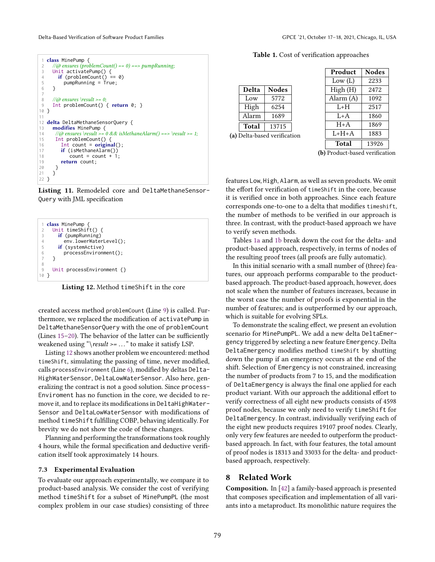Delta-Based Verification of Software Product Families GPCE '21, October 17–18, 2021, Chicago, IL, USA

<span id="page-10-4"></span><span id="page-10-3"></span><span id="page-10-2"></span>

|                 | 1 <b>class</b> MinePump {                                                   |
|-----------------|-----------------------------------------------------------------------------|
| 2               | $\angle$ //@ ensures (problemCount() == 0) ==> pumpRunning;                 |
| 3               | Unit activatePump() $\{$                                                    |
| 4               | if (problemCount() == $\theta$ )                                            |
| 5               | $pumpRunning = True;$                                                       |
| 6               | }                                                                           |
| $\overline{7}$  |                                                                             |
| 8               | $\angle$ //@ ensures \result >= 0;                                          |
| 9               | Int problemCount() { return $0;$ }                                          |
| 10 <sup>1</sup> |                                                                             |
| 11              |                                                                             |
|                 |                                                                             |
|                 | 12 <b>delta</b> DeltaMethaneSensorQuery {                                   |
| 13              | $modifies MinePump \{$                                                      |
|                 | //@ ensures \result >= $0 & 0 &$ is Methane Alarm() ==> \result >= 1;<br>14 |
| 15              | Int problemCount() $\{$                                                     |
| 16              | Int count = $original()$ ;                                                  |
|                 | $if (isMethod \text{Id}(\cdot))$                                            |
| 17<br>18        | $count = count + 1$ ;                                                       |
| 19              | return count;                                                               |
| 20              |                                                                             |
| 21              |                                                                             |

<span id="page-10-6"></span><span id="page-10-5"></span>Listing 11. Remodeled core and DeltaMethaneSensor-Query with JML specification

<span id="page-10-8"></span><span id="page-10-7"></span>

Listing 12. Method timeShift in the core

created access method problemCount (Line [9\)](#page-10-4) is called. Furthermore, we replaced the modification of activatePump in DeltaMethaneSensorQuery with the one of problemCount (Lines [15](#page-10-5)[–20\)](#page-10-6). The behavior of the latter can be sufficiently weakened using "\result >=  $\dots$ " to make it satisfy LSP.

Listing [12](#page-10-7) shows another problem we encountered: method timeShift, simulating the passing of time, never modified, calls processEnvironment (Line [6\)](#page-10-8), modified by deltas Delta-HighWaterSensor, DeltaLowWaterSensor. Also here, generalizing the contract is not a good solution. Since process-Enviroment has no function in the core, we decided to remove it, and to replace its modifications in DeltaHighWater-Sensor and DeltaLowWaterSensor with modifications of method timeShift fulfilling COBP, behaving identically. For brevity we do not show the code of these changes.

Planning and performing the transformations took roughly 4 hours, while the formal specification and deductive verification itself took approximately 14 hours.

# <span id="page-10-1"></span>7.3 Experimental Evaluation

To evaluate our approach experimentally, we compare it to product-based analysis. We consider the cost of verifying method timeShift for a subset of MinePumpPL (the most complex problem in our case studies) consisting of three

Table 1. Cost of verification approaches

| Delta | <b>Nodes</b> |
|-------|--------------|
| Low   | 5772         |
| High  | 6254         |
| Alarm | 1689         |
| Total | 13715        |

| Product   | <b>Nodes</b> |
|-----------|--------------|
| Low (L)   | 2233         |
| High (H)  | 2472         |
| Alarm (A) | 1092         |
| $L+H$     | 2517         |
| $L+A$     | 1860         |
| $H+A$     | 1869         |
| $L+H+A$   | 1883         |
| Total     | 13926        |

<span id="page-10-10"></span>(b) Product-based verification

<span id="page-10-9"></span>features Low, High, Alarm, as well as seven products. We omit the effort for verification of timeShift in the core, because it is verified once in both approaches. Since each feature corresponds one-to-one to a delta that modifies timeshift, the number of methods to be verified in our approach is three. In contrast, with the product-based approach we have to verify seven methods.

Tables [1a](#page-10-9) and [1b](#page-10-10) break down the cost for the delta- and product-based approach, respectively, in terms of nodes of the resulting proof trees (all proofs are fully automatic).

In this initial scenario with a small number of (three) features, our approach performs comparable to the productbased approach. The product-based approach, however, does not scale when the number of features increases, because in the worst case the number of proofs is exponential in the number of features; and is outperformed by our approach, which is suitable for evolving SPLs.

To demonstrate the scaling effect, we present an evolution scenario for MinePumpPL. We add a new delta DeltaEmergency triggered by selecting a new feature Emergency. Delta DeltaEmergency modifies method timeShift by shutting down the pump if an emergency occurs at the end of the shift. Selection of Emergency is not constrained, increasing the number of products from 7 to 15, and the modification of DeltaEmergency is always the final one applied for each product variant. With our approach the additional effort to verify correctness of all eight new products consists of 4598 proof nodes, because we only need to verify timeShift for DeltaEmergency. In contrast, individually verifying each of the eight new products requires 19107 proof nodes. Clearly, only very few features are needed to outperform the productbased approach. In fact, with four features, the total amount of proof nodes is 18313 and 33033 for the delta- and productbased approach, respectively.

# <span id="page-10-0"></span>8 Related Work

Composition. In [\[42\]](#page-13-14) a family-based approach is presented that composes specification and implementation of all variants into a metaproduct. Its monolithic nature requires the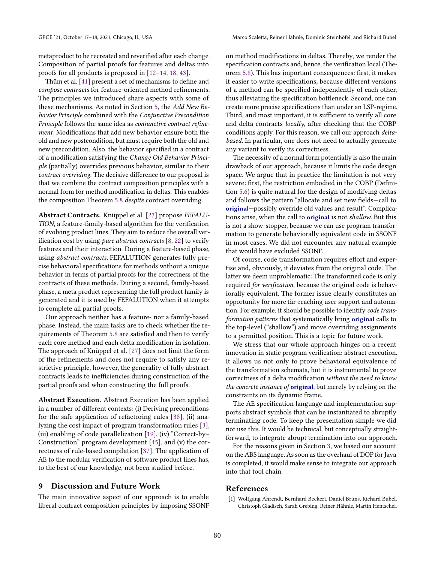metaproduct to be recreated and reverified after each change. Composition of partial proofs for features and deltas into proofs for all products is proposed in [\[12](#page-12-19)[–14,](#page-12-20) [18,](#page-12-21) [43\]](#page-13-4).

Thüm et al. [\[41\]](#page-13-3) present a set of mechanisms to define and compose contracts for feature-oriented method refinements. The principles we introduced share aspects with some of these mechanisms. As noted in Section [5,](#page-4-1) the Add New Behavior Principle combined with the Conjunctive Precondition Principle follows the same idea as conjunctive contract refinement: Modifications that add new behavior ensure both the old and new postcondition, but must require both the old and new precondition. Also, the behavior specified in a contract of a modification satisfying the Change Old Behavior Principle (partially) overrides previous behavior, similar to their contract overriding. The decisive difference to our proposal is that we combine the contract composition principles with a normal form for method modification in deltas. This enables the composition Theorem [5.8](#page-6-0) despite contract overriding.

Abstract Contracts. Knüppel et al. [\[27\]](#page-12-3) propose FEFALU-TION, a feature-family-based algorithm for the verification of evolving product lines. They aim to reduce the overall verification cost by using *pure abstract contracts*  $[8, 22]$  $[8, 22]$  $[8, 22]$  to verify features and their interaction. During a feature-based phase, using abstract contracts, FEFALUTION generates fully precise behavioral specifications for methods without a unique behavior in terms of partial proofs for the correctness of the contracts of these methods. During a second, family-based phase, a meta product representing the full product family is generated and it is used by FEFALUTION when it attempts to complete all partial proofs.

Our approach neither has a feature- nor a family-based phase. Instead, the main tasks are to check whether the requirements of Theorem [5.8](#page-6-0) are satisfied and then to verify each core method and each delta modification in isolation. The approach of Knüppel et al. [\[27\]](#page-12-3) does not limit the form of the refinements and does not require to satisfy any restrictive principle, however, the generality of fully abstract contracts leads to inefficiencies during construction of the partial proofs and when constructing the full proofs.

Abstract Execution. Abstract Execution has been applied in a number of different contexts: (i) Deriving preconditions for the safe application of refactoring rules [\[38\]](#page-13-7), (ii) analyzing the cost impact of program transformation rules [\[3\]](#page-12-23), (iii) enabling of code parallelization [\[19\]](#page-12-24), (iv) "Correct-by– Construction" program development [\[45\]](#page-13-18), and (v) the correctness of rule-based compilation [\[37\]](#page-13-10). The application of AE to the modular verification of software product lines has, to the best of our knowledge, not been studied before.

## <span id="page-11-0"></span>9 Discussion and Future Work

The main innovative aspect of our approach is to enable liberal contract composition principles by imposing SSONF on method modifications in deltas. Thereby, we render the specification contracts and, hence, the verification local (Theorem [5.8\)](#page-6-0). This has important consequences: first, it makes it easier to write specifications, because different versions of a method can be specified independently of each other, thus alleviating the specification bottleneck. Second, one can create more precise specifications than under an LSP-regime. Third, and most important, it is sufficient to verify all core and delta contracts *locally*, after checking that the COBP conditions apply. For this reason, we call our approach deltabased. In particular, one does not need to actually generate any variant to verify its correctness.

The necessity of a normal form potentially is also the main drawback of our approach, because it limits the code design space. We argue that in practice the limitation is not very severe: first, the restriction embodied in the COBP (Definition [5.6\)](#page-6-8) is quite natural for the design of modifying deltas and follows the pattern "allocate and set new fields—call to original—possibly override old values and result". Complications arise, when the call to original is not shallow. But this is not a show-stopper, because we can use program transformation to generate behaviorally equivalent code in SSONF in most cases. We did not encounter any natural example that would have excluded SSONF.

Of course, code transformation requires effort and expertise and, obviously, it deviates from the original code. The latter we deem unproblematic: The transformed code is only required for verification, because the original code is behaviorally equivalent. The former issue clearly constitutes an opportunity for more far-reaching user support and automation. For example, it should be possible to identify code transformation patterns that systematically bring original calls to the top-level ("shallow") and move overriding assignments to a permitted position. This is a topic for future work.

We stress that our whole approach hinges on a recent innovation in static program verification: abstract execution. It allows us not only to prove behavioral equivalence of the transformation schemata, but it is instrumental to prove correctness of a delta modification without the need to know the concrete instance of original, but merely by relying on the constraints on its dynamic frame.

The AE specification language and implementation supports abstract symbols that can be instantiated to abruptly terminating code. To keep the presentation simple we did not use this. It would be technical, but conceptually straightforward, to integrate abrupt termination into our approach.

For the reasons given in Section [3,](#page-3-0) we based our account on the ABS language. As soon as the overhaul of DOP for Java is completed, it would make sense to integrate our approach into that tool chain.

## References

<span id="page-11-1"></span>[1] Wolfgang Ahrendt, Bernhard Beckert, Daniel Bruns, Richard Bubel, Christoph Gladisch, Sarah Grebing, Reiner Hähnle, Martin Hentschel,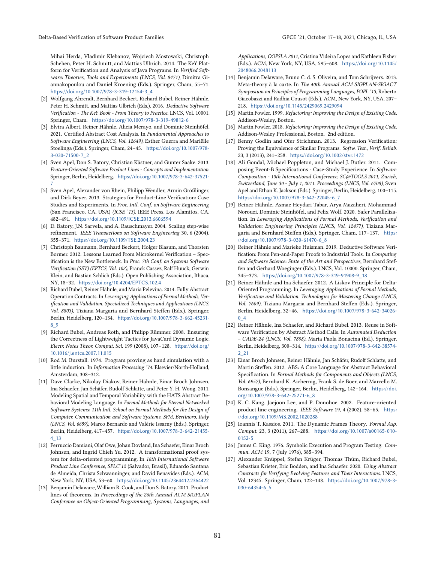Mihai Herda, Vladimir Klebanov, Wojciech Mostowski, Christoph Scheben, Peter H. Schmitt, and Mattias Ulbrich. 2014. The KeY Platform for Verification and Analysis of Java Programs. In Verified Software: Theories, Tools and Experiments (LNCS, Vol. 8471), Dimitra Giannakopoulou and Daniel Kroening (Eds.). Springer, Cham, 55–71. [https://doi.org/10.1007/978-3-319-12154-3\\_4](https://doi.org/10.1007/978-3-319-12154-3_4)

- <span id="page-12-5"></span>[2] Wolfgang Ahrendt, Bernhard Beckert, Richard Bubel, Reiner Hähnle, Peter H. Schmitt, and Mattias Ulbrich (Eds.). 2016. Deductive Software Verification - The KeY Book - From Theory to Practice. LNCS, Vol. 10001. Springer, Cham. <https://doi.org/10.1007/978-3-319-49812-6>
- <span id="page-12-23"></span>[3] Elvira Albert, Reiner Hähnle, Alicia Merayo, and Dominic Steinhöfel. 2021. Certified Abstract Cost Analysis. In Fundamental Approaches to Software Engineering (LNCS, Vol. 12649), Esther Guerra and Mariëlle Stoelinga (Eds.). Springer, Cham, 24–45. [https://doi.org/10.1007/978-](https://doi.org/10.1007/978-3-030-71500-7_2) [3-030-71500-7\\_2](https://doi.org/10.1007/978-3-030-71500-7_2)
- <span id="page-12-14"></span>[4] Sven Apel, Don S. Batory, Christian Kästner, and Gunter Saake. 2013. Feature-Oriented Software Product Lines - Concepts and Implementation. Springer, Berlin, Heidelberg. [https://doi.org/10.1007/978-3-642-37521-](https://doi.org/10.1007/978-3-642-37521-7) [7](https://doi.org/10.1007/978-3-642-37521-7)
- <span id="page-12-16"></span>[5] Sven Apel, Alexander von Rhein, Philipp Wendler, Armin Größlinger, and Dirk Beyer. 2013. Strategies for Product-Line Verification: Case Studies and Experiments. In Proc. Intl. Conf. on Software Engineering (San Francisco, CA, USA) (ICSE '13). IEEE Press, Los Alamitos, CA, 482–491. <https://doi.org/10.1109/ICSE.2013.6606594>
- <span id="page-12-17"></span>[6] D. Batory, J.N. Sarvela, and A. Rauschmayer. 2004. Scaling step-wise refinement. IEEE Transactions on Software Engineering 30, 6 (2004), 355–371. <https://doi.org/10.1109/TSE.2004.23>
- <span id="page-12-4"></span>[7] Christoph Baumann, Bernhard Beckert, Holger Blasum, and Thorsten Bormer. 2012. Lessons Learned From Microkernel Verification – Specification is the New Bottleneck. In Proc. 7th Conf. on Systems Software Verification (SSV) (EPTCS, Vol. 102), Franck Cassez, Ralf Huuck, Gerwin Klein, and Bastian Schlich (Eds.). Open Publishing Association, Ithaca, NY, 18–32. <https://doi.org/10.4204/EPTCS.102.4>
- <span id="page-12-22"></span>[8] Richard Bubel, Reiner Hähnle, and Maria Pelevina. 2014. Fully Abstract Operation Contracts. In Leveraging Applications of Formal Methods, Verification and Validation. Specialized Techniques and Applications (LNCS, Vol. 8803), Tiziana Margaria and Bernhard Steffen (Eds.). Springer, Berlin, Heidelberg, 120–134. [https://doi.org/10.1007/978-3-662-45231-](https://doi.org/10.1007/978-3-662-45231-8_9) [8\\_9](https://doi.org/10.1007/978-3-662-45231-8_9)
- <span id="page-12-8"></span>[9] Richard Bubel, Andreas Roth, and Philipp Rümmer. 2008. Ensuring the Correctness of Lightweight Tactics for JavaCard Dynamic Logic. Electr. Notes Theor. Comput. Sci. 199 (2008), 107–128. [https://doi.org/](https://doi.org/10.1016/j.entcs.2007.11.015) [10.1016/j.entcs.2007.11.015](https://doi.org/10.1016/j.entcs.2007.11.015)
- <span id="page-12-6"></span>[10] Rod M. Burstall. 1974. Program proving as hand simulation with a little induction. In Information Processing '74. Elsevier/North-Holland, Amsterdam, 308–312.
- <span id="page-12-12"></span>[11] Dave Clarke, Nikolay Diakov, Reiner Hähnle, Einar Broch Johnsen, Ina Schaefer, Jan Schäfer, Rudolf Schlatte, and Peter Y. H. Wong. 2011. Modeling Spatial and Temporal Variability with the HATS Abstract Behavioral Modeling Language. In Formal Methods for Eternal Networked Software Systems: 11th Intl. School on Formal Methods for the Design of Computer, Communication and Software Systems, SFM, Bertinoro, Italy (LNCS, Vol. 6659), Marco Bernardo and Valérie Issarny (Eds.). Springer, Berlin, Heidelberg, 417–457. [https://doi.org/10.1007/978-3-642-21455-](https://doi.org/10.1007/978-3-642-21455-4_13) [4\\_13](https://doi.org/10.1007/978-3-642-21455-4_13)
- <span id="page-12-19"></span>[12] Ferruccio Damiani, Olaf Owe, Johan Dovland, Ina Schaefer, Einar Broch Johnsen, and Ingrid Chieh Yu. 2012. A transformational proof system for delta-oriented programming. In 16th International Software Product Line Conference, SPLC'12 (Salvador, Brasil), Eduardo Santana de Almeida, Christa Schwanninger, and David Benavides (Eds.). ACM, New York, NY, USA, 53–60. <https://doi.org/10.1145/2364412.2364422>
- [13] Benjamin Delaware, William R. Cook, and Don S. Batory. 2011. Product lines of theorems. In Proceedings of the 26th Annual ACM SIGPLAN Conference on Object-Oriented Programming, Systems, Languages, and

Applications, OOPSLA 2011, Cristina Videira Lopes and Kathleen Fisher (Eds.). ACM, New York, NY, USA, 595–608. [https://doi.org/10.1145/](https://doi.org/10.1145/2048066.2048113) [2048066.2048113](https://doi.org/10.1145/2048066.2048113)

- <span id="page-12-20"></span>[14] Benjamin Delaware, Bruno C. d. S. Oliveira, and Tom Schrijvers. 2013. Meta-theory à la carte. In The 40th Annual ACM SIGPLAN-SIGACT Symposium on Principles of Programming Languages, POPL '13, Roberto Giacobazzi and Radhia Cousot (Eds.). ACM, New York, NY, USA, 207– 218. <https://doi.org/10.1145/2429069.2429094>
- <span id="page-12-15"></span>[15] Martin Fowler. 1999. Refactoring: Improving the Design of Existing Code. Addison-Wesley, Boston.
- <span id="page-12-11"></span>[16] Martin Fowler. 2018. Refactoring: Improving the Design of Existing Code. Addison-Wesley Professional, Boston. 2nd edition.
- <span id="page-12-9"></span>[17] Benny Godlin and Ofer Strichman. 2013. Regression Verification: Proving the Equivalence of Similar Programs. Softw. Test., Verif. Reliab. 23, 3 (2013), 241–258. <https://doi.org/10.1002/stvr.1472>
- <span id="page-12-21"></span>[18] Ali Gondal, Michael Poppleton, and Michael J. Butler. 2011. Composing Event-B Specifications - Case-Study Experience. In Software Composition - 10th International Conference, SC@TOOLS 2011, Zurich, Switzerland, June 30 - July 1, 2011. Proceedings (LNCS, Vol. 6708), Sven Apel and Ethan K. Jackson (Eds.). Springer, Berlin, Heidelberg, 100–115. [https://doi.org/10.1007/978-3-642-22045-6\\_7](https://doi.org/10.1007/978-3-642-22045-6_7)
- <span id="page-12-24"></span>[19] Reiner Hähnle, Asmae Heydari Tabar, Arya Mazaheri, Mohammad Norouzi, Dominic Steinhöfel, and Felix Wolf. 2020. Safer Parallelization. In Leveraging Applications of Formal Methods, Verification and Validation: Engineering Principles (LNCS, Vol. 12477), Tiziana Margaria and Bernhard Steffen (Eds.). Springer, Cham, 117–137. [https:](https://doi.org/10.1007/978-3-030-61470-6_8) [//doi.org/10.1007/978-3-030-61470-6\\_8](https://doi.org/10.1007/978-3-030-61470-6_8)
- <span id="page-12-0"></span>[20] Reiner Hähnle and Marieke Huisman. 2019. Deductive Software Verification: From Pen-and-Paper Proofs to Industrial Tools. In Computing and Software Science: State of the Art and Perspectives, Bernhard Steffen and Gerhard Woeginger (Eds.). LNCS, Vol. 10000. Springer, Cham, 345–373. [https://doi.org/10.1007/978-3-319-91908-9\\_18](https://doi.org/10.1007/978-3-319-91908-9_18)
- <span id="page-12-1"></span>[21] Reiner Hähnle and Ina Schaefer. 2012. A Liskov Principle for Delta-Oriented Programming. In Leveraging Applications of Formal Methods, Verification and Validation. Technologies for Mastering Change (LNCS, Vol. 7609), Tiziana Margaria and Bernhard Steffen (Eds.). Springer, Berlin, Heidelberg, 32–46. [https://doi.org/10.1007/978-3-642-34026-](https://doi.org/10.1007/978-3-642-34026-0_4) [0\\_4](https://doi.org/10.1007/978-3-642-34026-0_4)
- <span id="page-12-2"></span>[22] Reiner Hähnle, Ina Schaefer, and Richard Bubel. 2013. Reuse in Software Verification by Abstract Method Calls. In Automated Deduction – CADE-24 (LNCS, Vol. 7898), Maria Paola Bonacina (Ed.). Springer, Berlin, Heidelberg, 300–314. [https://doi.org/10.1007/978-3-642-38574-](https://doi.org/10.1007/978-3-642-38574-2_21) [2\\_21](https://doi.org/10.1007/978-3-642-38574-2_21)
- <span id="page-12-18"></span>[23] Einar Broch Johnsen, Reiner Hähnle, Jan Schäfer, Rudolf Schlatte, and Martin Steffen. 2012. ABS: A Core Language for Abstract Behavioral Specification. In Formal Methods for Components and Objects (LNCS, Vol. 6957), Bernhard K. Aichernig, Frank S. de Boer, and Marcello M. Bonsangue (Eds.). Springer, Berlin, Heidelberg, 142–164. [https://doi.](https://doi.org/10.1007/978-3-642-25271-6_8) [org/10.1007/978-3-642-25271-6\\_8](https://doi.org/10.1007/978-3-642-25271-6_8)
- <span id="page-12-13"></span>[24] K. C. Kang, Jaejoon Lee, and P. Donohoe. 2002. Feature-oriented product line engineering. IEEE Software 19, 4 (2002), 58–65. [https:](https://doi.org/10.1109/MS.2002.1020288) [//doi.org/10.1109/MS.2002.1020288](https://doi.org/10.1109/MS.2002.1020288)
- <span id="page-12-10"></span>[25] Ioannis T. Kassios. 2011. The Dynamic Frames Theory. Formal Asp. Comput. 23, 3 (2011), 267–288. [https://doi.org/10.1007/s00165-010-](https://doi.org/10.1007/s00165-010-0152-5) [0152-5](https://doi.org/10.1007/s00165-010-0152-5)
- <span id="page-12-7"></span>[26] James C. King. 1976. Symbolic Execution and Program Testing. Commun. ACM 19, 7 (July 1976), 385–394.
- <span id="page-12-3"></span>[27] Alexander Knüppel, Stefan Krüger, Thomas Thüm, Richard Bubel, Sebastian Krieter, Eric Bodden, and Ina Schaefer. 2020. Using Abstract Contracts for Verifying Evolving Features and Their Interactions. LNCS, Vol. 12345. Springer, Cham, 122–148. [https://doi.org/10.1007/978-3-](https://doi.org/10.1007/978-3-030-64354-6_5) [030-64354-6\\_5](https://doi.org/10.1007/978-3-030-64354-6_5)